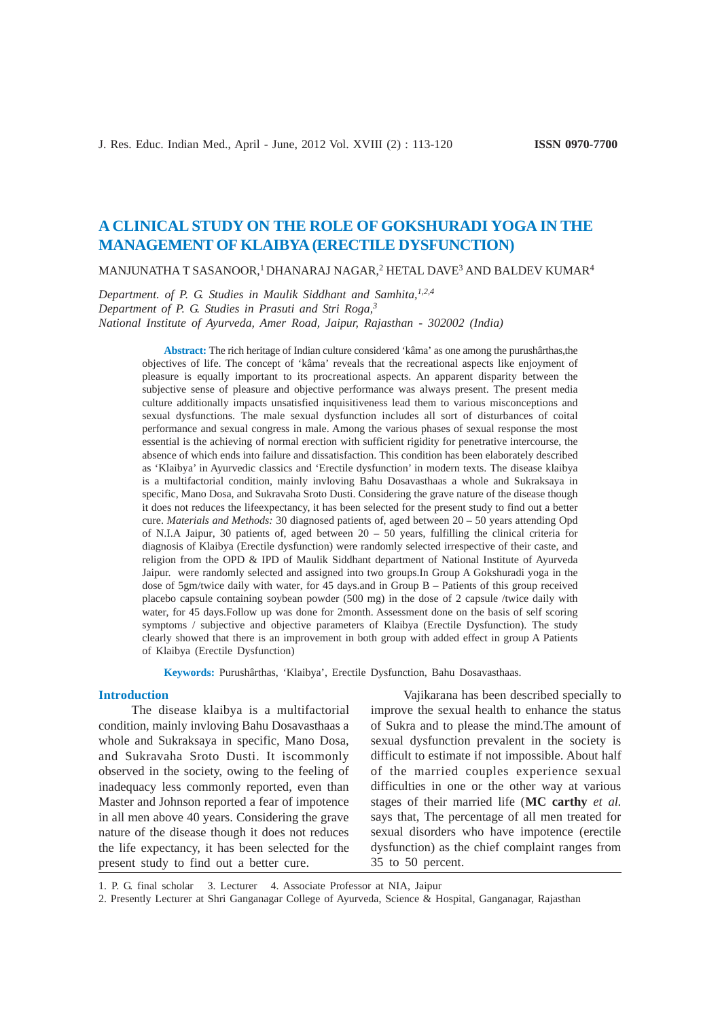# **A CLINICAL STUDY ON THE ROLE OF GOKSHURADI YOGA IN THE MANAGEMENT OF KLAIBYA (ERECTILE DYSFUNCTION)**

MANJUNATHA T SASANOOR,<sup>1</sup> DHANARAJ NAGAR,<sup>2</sup> HETAL DAVE<sup>3</sup> AND BALDEV KUMAR<sup>4</sup>

*Department. of P. G. Studies in Maulik Siddhant and Samhita,1,2,4 Department of P. G. Studies in Prasuti and Stri Roga,3 National Institute of Ayurveda, Amer Road, Jaipur, Rajasthan - 302002 (India)*

> **Abstract:** The rich heritage of Indian culture considered 'kâma' as one among the purushârthas,the objectives of life. The concept of 'kâma' reveals that the recreational aspects like enjoyment of pleasure is equally important to its procreational aspects. An apparent disparity between the subjective sense of pleasure and objective performance was always present. The present media culture additionally impacts unsatisfied inquisitiveness lead them to various misconceptions and sexual dysfunctions. The male sexual dysfunction includes all sort of disturbances of coital performance and sexual congress in male. Among the various phases of sexual response the most essential is the achieving of normal erection with sufficient rigidity for penetrative intercourse, the absence of which ends into failure and dissatisfaction. This condition has been elaborately described as 'Klaibya' in Ayurvedic classics and 'Erectile dysfunction' in modern texts. The disease klaibya is a multifactorial condition, mainly invloving Bahu Dosavasthaas a whole and Sukraksaya in specific, Mano Dosa, and Sukravaha Sroto Dusti. Considering the grave nature of the disease though it does not reduces the lifeexpectancy, it has been selected for the present study to find out a better cure. *Materials and Methods:* 30 diagnosed patients of, aged between 20 – 50 years attending Opd of N.I.A Jaipur, 30 patients of, aged between  $20 - 50$  years, fulfilling the clinical criteria for diagnosis of Klaibya (Erectile dysfunction) were randomly selected irrespective of their caste, and religion from the OPD & IPD of Maulik Siddhant department of National Institute of Ayurveda Jaipur. were randomly selected and assigned into two groups.In Group A Gokshuradi yoga in the dose of 5gm/twice daily with water, for 45 days.and in Group B – Patients of this group received placebo capsule containing soybean powder (500 mg) in the dose of 2 capsule /twice daily with water, for 45 days.Follow up was done for 2month. Assessment done on the basis of self scoring symptoms / subjective and objective parameters of Klaibya (Erectile Dysfunction). The study clearly showed that there is an improvement in both group with added effect in group A Patients of Klaibya (Erectile Dysfunction)

**Keywords:** Purushârthas, 'Klaibya', Erectile Dysfunction, Bahu Dosavasthaas.

#### **Introduction**

The disease klaibya is a multifactorial condition, mainly invloving Bahu Dosavasthaas a whole and Sukraksaya in specific, Mano Dosa, and Sukravaha Sroto Dusti. It iscommonly observed in the society, owing to the feeling of inadequacy less commonly reported, even than Master and Johnson reported a fear of impotence in all men above 40 years. Considering the grave nature of the disease though it does not reduces the life expectancy, it has been selected for the present study to find out a better cure.

Vajikarana has been described specially to improve the sexual health to enhance the status of Sukra and to please the mind.The amount of sexual dysfunction prevalent in the society is difficult to estimate if not impossible. About half of the married couples experience sexual difficulties in one or the other way at various stages of their married life (**MC carthy** *et al.* says that, The percentage of all men treated for sexual disorders who have impotence (erectile dysfunction) as the chief complaint ranges from 35 to 50 percent.

1. P. G. final scholar 3. Lecturer 4. Associate Professor at NIA, Jaipur

2. Presently Lecturer at Shri Ganganagar College of Ayurveda, Science & Hospital, Ganganagar, Rajasthan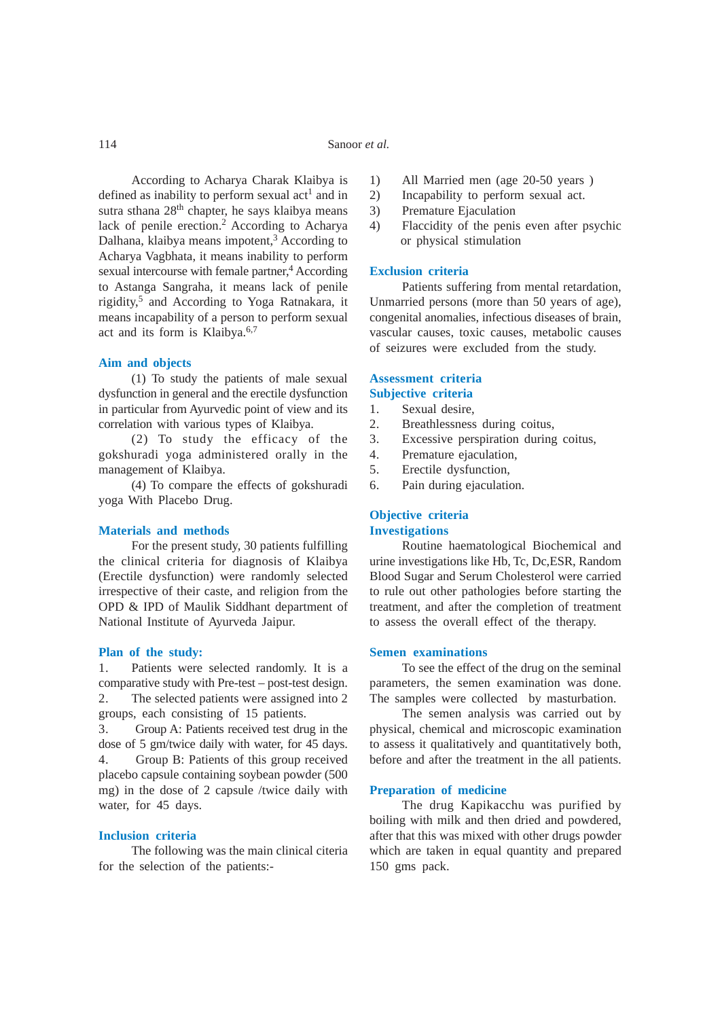According to Acharya Charak Klaibya is defined as inability to perform sexual  $act<sup>1</sup>$  and in sutra sthana 28<sup>th</sup> chapter, he says klaibya means lack of penile erection.<sup>2</sup> According to Acharya Dalhana, klaibya means impotent,<sup>3</sup> According to Acharya Vagbhata, it means inability to perform sexual intercourse with female partner,<sup>4</sup> According to Astanga Sangraha, it means lack of penile rigidity,5 and According to Yoga Ratnakara, it means incapability of a person to perform sexual act and its form is Klaibya. $6,7$ 

#### **Aim and objects**

(1) To study the patients of male sexual dysfunction in general and the erectile dysfunction in particular from Ayurvedic point of view and its correlation with various types of Klaibya.

(2) To study the efficacy of the gokshuradi yoga administered orally in the management of Klaibya.

(4) To compare the effects of gokshuradi yoga With Placebo Drug.

#### **Materials and methods**

For the present study, 30 patients fulfilling the clinical criteria for diagnosis of Klaibya (Erectile dysfunction) were randomly selected irrespective of their caste, and religion from the OPD & IPD of Maulik Siddhant department of National Institute of Ayurveda Jaipur.

#### **Plan of the study:**

1. Patients were selected randomly. It is a comparative study with Pre-test – post-test design. 2. The selected patients were assigned into 2 groups, each consisting of 15 patients.

3. Group A: Patients received test drug in the dose of 5 gm/twice daily with water, for 45 days. 4. Group B: Patients of this group received placebo capsule containing soybean powder (500 mg) in the dose of 2 capsule /twice daily with water, for 45 days.

#### **Inclusion criteria**

The following was the main clinical citeria for the selection of the patients:-

- 1) All Married men (age 20-50 years )
- 2) Incapability to perform sexual act.
- 3) Premature Ejaculation
- 4) Flaccidity of the penis even after psychic or physical stimulation

#### **Exclusion criteria**

Patients suffering from mental retardation, Unmarried persons (more than 50 years of age), congenital anomalies, infectious diseases of brain, vascular causes, toxic causes, metabolic causes of seizures were excluded from the study.

#### **Assessment criteria Subjective criteria**

- 1. Sexual desire,
- 2. Breathlessness during coitus,
- 3. Excessive perspiration during coitus,
- 4. Premature ejaculation,
- 5. Erectile dysfunction,
- 6. Pain during ejaculation.

#### **Objective criteria Investigations**

Routine haematological Biochemical and urine investigations like Hb, Tc, Dc,ESR, Random Blood Sugar and Serum Cholesterol were carried to rule out other pathologies before starting the treatment, and after the completion of treatment to assess the overall effect of the therapy.

#### **Semen examinations**

To see the effect of the drug on the seminal parameters, the semen examination was done. The samples were collected by masturbation.

The semen analysis was carried out by physical, chemical and microscopic examination to assess it qualitatively and quantitatively both, before and after the treatment in the all patients.

#### **Preparation of medicine**

The drug Kapikacchu was purified by boiling with milk and then dried and powdered, after that this was mixed with other drugs powder which are taken in equal quantity and prepared 150 gms pack.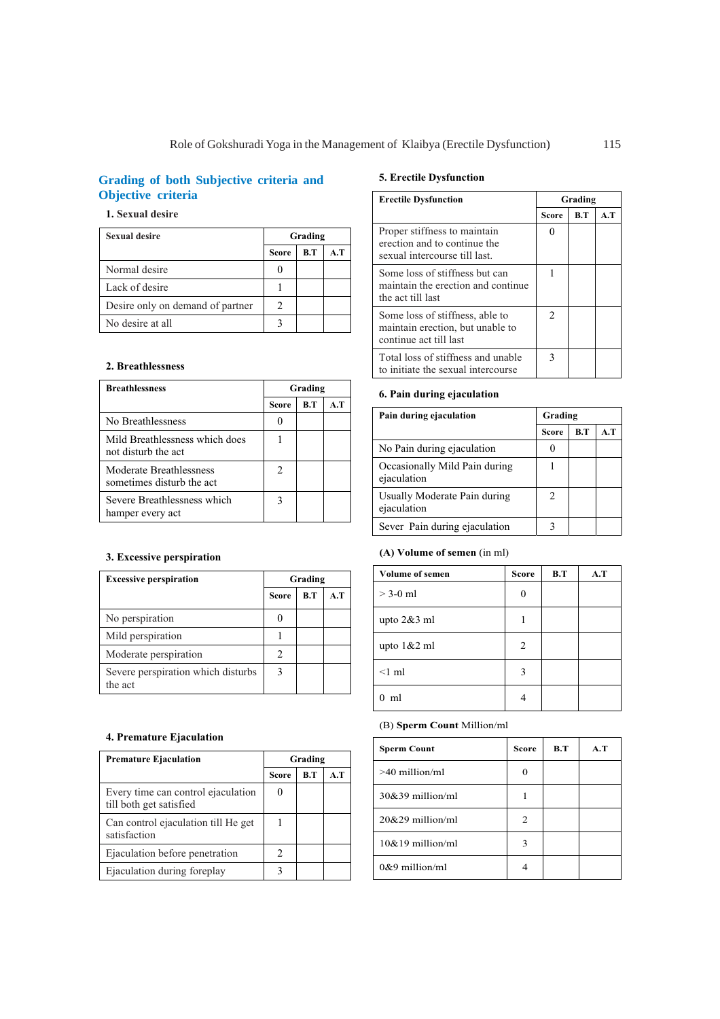# **Grading of both Subjective criteria and Objective criteria**

## **1. Sexual desire**

| <b>Sexual desire</b>             | Grading      |     |     |
|----------------------------------|--------------|-----|-----|
|                                  | <b>Score</b> | B.T | A.T |
| Normal desire                    |              |     |     |
| Lack of desire                   |              |     |     |
| Desire only on demand of partner |              |     |     |
| No desire at all                 |              |     |     |

#### **2. Breathlessness**

| <b>Breathlessness</b>                                 | Grading                     |     |     |  |
|-------------------------------------------------------|-----------------------------|-----|-----|--|
|                                                       | <b>Score</b>                | R.T | A.T |  |
| No Breathlessness                                     |                             |     |     |  |
| Mild Breathlessness which does<br>not disturb the act |                             |     |     |  |
| Moderate Breathlessness<br>sometimes disturb the act  | $\mathcal{D}_{\mathcal{L}}$ |     |     |  |
| Severe Breathlessness which<br>hamper every act       |                             |     |     |  |

## **3. Excessive perspiration**

| <b>Excessive perspiration</b>                 | Grading      |     |     |
|-----------------------------------------------|--------------|-----|-----|
|                                               | <b>Score</b> | B.T | A.T |
| No perspiration                               |              |     |     |
| Mild perspiration                             |              |     |     |
| Moderate perspiration                         | 2            |     |     |
| Severe perspiration which disturbs<br>the act |              |     |     |

## **4. Premature Ejaculation**

| <b>Premature Ejaculation</b>                                  | Grading                    |  |  |  |
|---------------------------------------------------------------|----------------------------|--|--|--|
|                                                               | R.T<br>A.T<br><b>Score</b> |  |  |  |
| Every time can control ejaculation<br>till both get satisfied |                            |  |  |  |
| Can control ejaculation till He get<br>satisfaction           |                            |  |  |  |
| Ejaculation before penetration                                | 2                          |  |  |  |
| Ejaculation during foreplay                                   |                            |  |  |  |

## **5. Erectile Dysfunction**

| <b>Erectile Dysfunction</b>                                                                   | Grading |     |     |
|-----------------------------------------------------------------------------------------------|---------|-----|-----|
|                                                                                               | Score   | B.T | A.T |
| Proper stiffness to maintain<br>erection and to continue the<br>sexual intercourse till last. |         |     |     |
| Some loss of stiffness but can<br>maintain the erection and continue<br>the act till last     |         |     |     |
| Some loss of stiffness, able to<br>maintain erection, but unable to<br>continue act till last | 2       |     |     |
| Total loss of stiffness and unable<br>to initiate the sexual intercourse                      | 3       |     |     |

### **6. Pain during ejaculation**

| Pain during ejaculation                      | Grading      |     |     |  |
|----------------------------------------------|--------------|-----|-----|--|
|                                              | <b>Score</b> | B.T | A.T |  |
| No Pain during ejaculation                   |              |     |     |  |
| Occasionally Mild Pain during<br>ejaculation |              |     |     |  |
| Usually Moderate Pain during<br>ejaculation  | 2            |     |     |  |
| Sever Pain during ejaculation                |              |     |     |  |

## **(A) Volume of semen** (in ml)

| <b>Volume of semen</b> | <b>Score</b> | B.T | A.T |
|------------------------|--------------|-----|-----|
| $>$ 3-0 ml             | 0            |     |     |
| upto $2&3$ ml          |              |     |     |
| upto $1&2$ ml          | 2            |     |     |
| $\leq$ 1 ml            | 3            |     |     |
| ml<br>$\Omega$         |              |     |     |

## (B) **Sperm Count** Million/ml

| <b>Sperm Count</b>  | <b>Score</b> | B.T | A.T |
|---------------------|--------------|-----|-----|
| $>40$ million/ml    | 0            |     |     |
| $30\&39$ million/ml |              |     |     |
| $20\&29$ million/ml | 2            |     |     |
| $10\&19$ million/ml | 3            |     |     |
| $0&9$ million/ml    |              |     |     |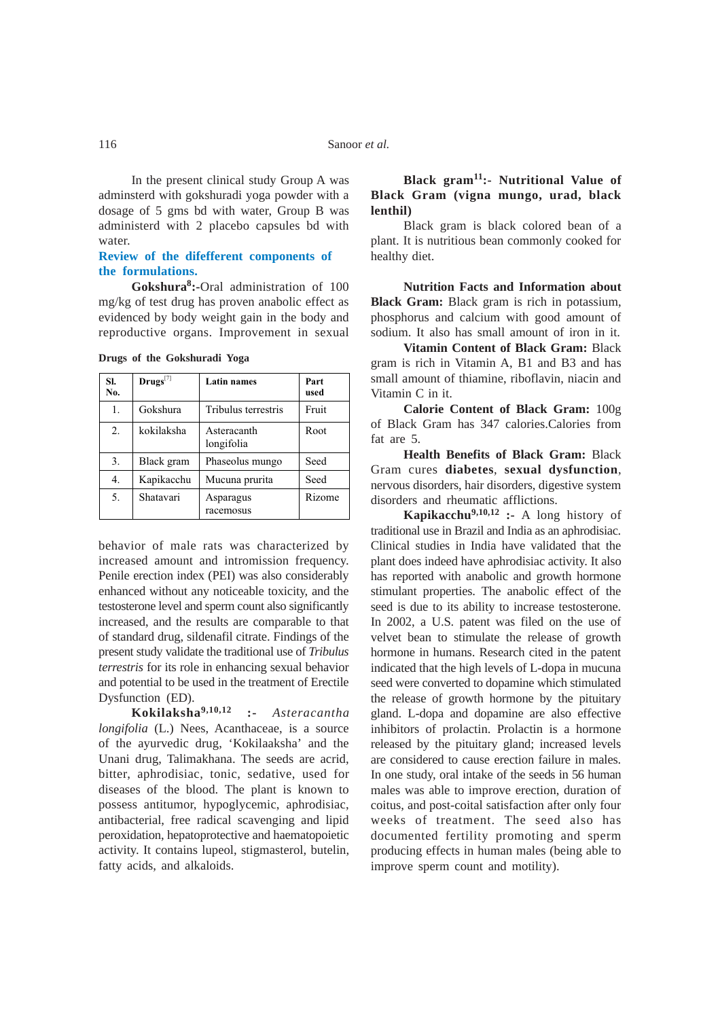In the present clinical study Group A was adminsterd with gokshuradi yoga powder with a dosage of 5 gms bd with water, Group B was administerd with 2 placebo capsules bd with water.

## **Review of the difefferent components of the formulations.**

**Gokshura8:-**Oral administration of 100 mg/kg of test drug has proven anabolic effect as evidenced by body weight gain in the body and reproductive organs. Improvement in sexual

| SI.<br>No. | $\mathbf{Drugs}^{[7]}$ | <b>Latin names</b>        | Part<br>used |
|------------|------------------------|---------------------------|--------------|
| 1.         | Gokshura               | Tribulus terrestris       | Fruit        |
| 2.         | kokilaksha             | Asteracanth<br>longifolia | Root         |
| 3.         | Black gram             | Phaseolus mungo           | Seed         |
| 4.         | Kapikacchu             | Mucuna prurita            | Seed         |
| 5.         | Shatavari              | Asparagus<br>racemosus    | Rizome       |

**Drugs of the Gokshuradi Yoga**

behavior of male rats was characterized by increased amount and intromission frequency. Penile erection index (PEI) was also considerably enhanced without any noticeable toxicity, and the testosterone level and sperm count also significantly increased, and the results are comparable to that of standard drug, sildenafil citrate. Findings of the present study validate the traditional use of *Tribulus terrestris* for its role in enhancing sexual behavior and potential to be used in the treatment of Erectile Dysfunction (ED).

**Kokilaksha9,10,12 :-** *Asteracantha longifolia* (L.) Nees, Acanthaceae, is a source of the ayurvedic drug, 'Kokilaaksha' and the Unani drug, Talimakhana. The seeds are acrid, bitter, aphrodisiac, tonic, sedative, used for diseases of the blood. The plant is known to possess antitumor, hypoglycemic, aphrodisiac, antibacterial, free radical scavenging and lipid peroxidation, hepatoprotective and haematopoietic activity. It contains lupeol, stigmasterol, butelin, fatty acids, and alkaloids.

# **Black gram11:- Nutritional Value of Black Gram (vigna mungo, urad, black lenthil)**

Black gram is black colored bean of a plant. It is nutritious bean commonly cooked for healthy diet.

**Nutrition Facts and Information about Black Gram:** Black gram is rich in potassium, phosphorus and calcium with good amount of sodium. It also has small amount of iron in it.

**Vitamin Content of Black Gram:** Black gram is rich in Vitamin A, B1 and B3 and has small amount of thiamine, riboflavin, niacin and Vitamin C in it.

**Calorie Content of Black Gram:** 100g of Black Gram has 347 calories.Calories from fat are 5.

**Health Benefits of Black Gram:** Black Gram cures **diabetes**, **sexual dysfunction**, nervous disorders, hair disorders, digestive system disorders and rheumatic afflictions.

**Kapikacchu9,10,12 :-** A long history of traditional use in Brazil and India as an aphrodisiac. Clinical studies in India have validated that the plant does indeed have aphrodisiac activity. It also has reported with anabolic and growth hormone stimulant properties. The anabolic effect of the seed is due to its ability to increase testosterone. In 2002, a U.S. patent was filed on the use of velvet bean to stimulate the release of growth hormone in humans. Research cited in the patent indicated that the high levels of L-dopa in mucuna seed were converted to dopamine which stimulated the release of growth hormone by the pituitary gland. L-dopa and dopamine are also effective inhibitors of prolactin. Prolactin is a hormone released by the pituitary gland; increased levels are considered to cause erection failure in males. In one study, oral intake of the seeds in 56 human males was able to improve erection, duration of coitus, and post-coital satisfaction after only four weeks of treatment. The seed also has documented fertility promoting and sperm producing effects in human males (being able to improve sperm count and motility).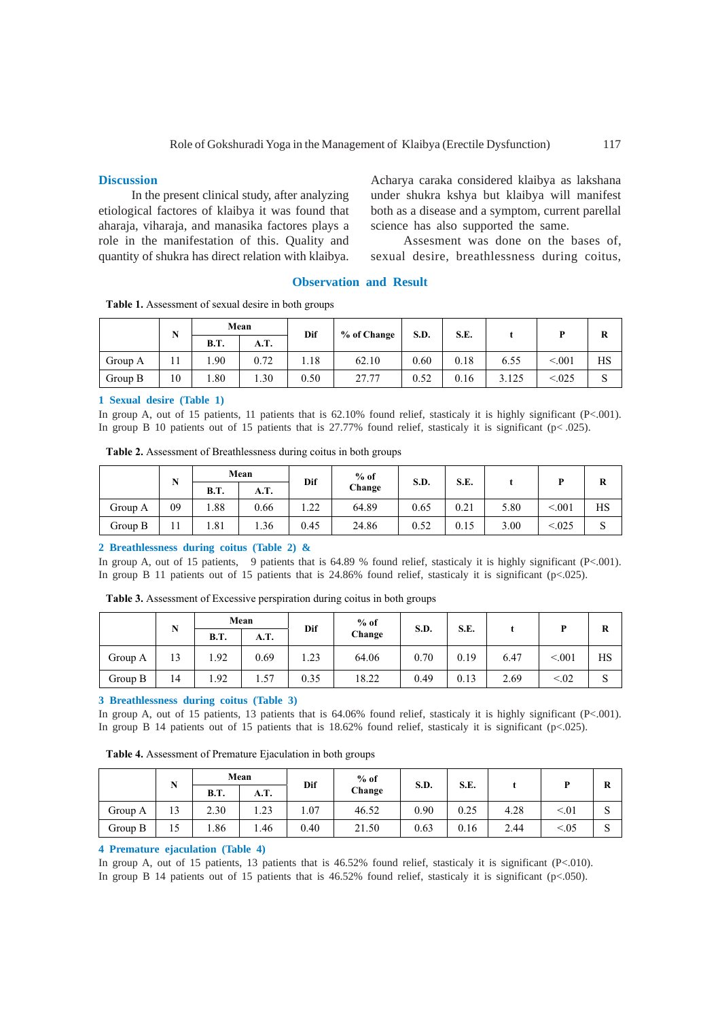#### **Discussion**

In the present clinical study, after analyzing etiological factores of klaibya it was found that aharaja, viharaja, and manasika factores plays a role in the manifestation of this. Quality and quantity of shukra has direct relation with klaibya. Acharya caraka considered klaibya as lakshana under shukra kshya but klaibya will manifest both as a disease and a symptom, current parellal science has also supported the same.

Assesment was done on the bases of, sexual desire, breathlessness during coitus,

#### **Observation and Result**

**Table 1.** Assessment of sexual desire in both groups

|         | N  | Mean        |      | % of Change<br>Dif |       | S.D. | S.E. |       |         | R  |
|---------|----|-------------|------|--------------------|-------|------|------|-------|---------|----|
|         |    | <b>B.T.</b> | A.T. |                    |       |      |      |       |         |    |
| Group A |    | . 90        | 0.72 | 1.18               | 62.10 | 0.60 | 0.18 | 6.55  | < 001   | HS |
| Group B | 10 | .80         | 0.30 | 0.50               | 27.77 | 0.52 | 0.16 | 3.125 | < 0.025 | د  |

#### **1 Sexual desire (Table 1)**

In group A, out of 15 patients, 11 patients that is 62.10% found relief, stasticaly it is highly significant (P<.001). In group B 10 patients out of 15 patients that is  $27.77\%$  found relief, stasticaly it is significant (p< .025).

| Table 2. Assessment of Breathlessness during coitus in both groups |  |  |  |  |
|--------------------------------------------------------------------|--|--|--|--|
|--------------------------------------------------------------------|--|--|--|--|

| N       |    |             | Mean        |      | $%$ of        |      | S.E. |      |         |    |
|---------|----|-------------|-------------|------|---------------|------|------|------|---------|----|
|         |    | <b>B.T.</b> | <b>A.T.</b> |      | Dif<br>Change | S.D. |      |      |         | v  |
| Group A | 09 | .88         | 0.66        | 1.22 | 64.89         | 0.65 | 0.21 | 5.80 | < 0.01  | НS |
| Group B |    | 1.81        | 1.36        | 0.45 | 24.86         | 0.52 | 0.15 | 3.00 | < 0.025 | د  |

### **2 Breathlessness during coitus (Table 2) &**

In group A, out of 15 patients, 9 patients that is 64.89 % found relief, stasticaly it is highly significant (P<.001). In group B 11 patients out of 15 patients that is 24.86% found relief, stasticaly it is significant (p<.025).

**Table 3.** Assessment of Excessive perspiration during coitus in both groups

|         | N  | Mean        |      | Dif  | $%$ of | S.D. | S.E. |      |        | R  |
|---------|----|-------------|------|------|--------|------|------|------|--------|----|
|         |    | <b>B.T.</b> | A.T. |      | Change |      |      |      |        |    |
| Group A | 13 | .92         | 0.69 | 1.23 | 64.06  | 0.70 | 0.19 | 6.47 | < 0.01 | HS |
| Group B | 14 | .92         | 1.57 | 0.35 | 18.22  | 0.49 | 0.13 | 2.69 | < 0.02 | د  |

#### **3 Breathlessness during coitus (Table 3)**

In group A, out of 15 patients, 13 patients that is 64.06% found relief, stasticaly it is highly significant (P<.001). In group B 14 patients out of 15 patients that is 18.62% found relief, stasticaly it is significant (p<.025).

**Table 4.** Assessment of Premature Ejaculation in both groups

|         |              | Mean        |       | Dif  | $%$ of | S.D. | S.E. |      |        | R |
|---------|--------------|-------------|-------|------|--------|------|------|------|--------|---|
|         |              | <b>B.T.</b> | A.T.  |      | Change |      |      |      |        |   |
| Group A | $\sim$<br>13 | 2.30        | 1.23  | 1.07 | 46.52  | 0.90 | 0.25 | 4.28 | < 01   | P |
| Group B | 10           | .86         | ـ 46. | 0.40 | 21.50  | 0.63 | 0.16 | 2.44 | < 0.05 | P |

#### **4 Premature ejaculation (Table 4)**

In group A, out of 15 patients, 13 patients that is 46.52% found relief, stasticaly it is significant (P<.010).

In group B 14 patients out of 15 patients that is 46.52% found relief, stasticaly it is significant (p<.050).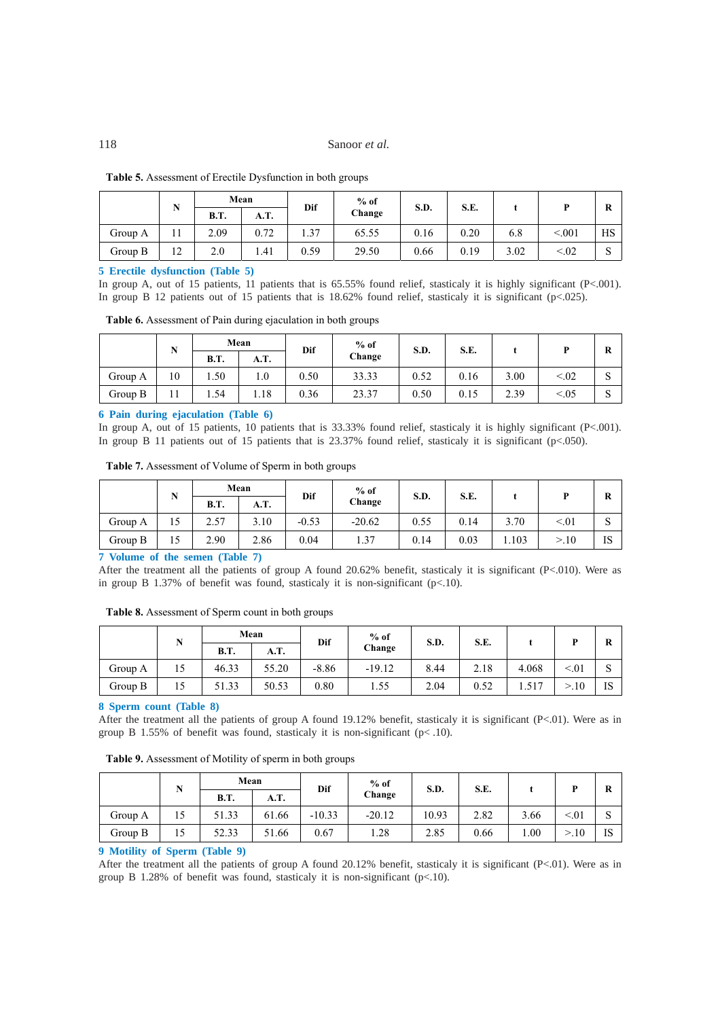### 118 Sanoor *et al.*

|         | <b>TAT</b><br>13 | Mean        |      | Dif  | $%$ of | S.D. | S.E. |      |         |    |
|---------|------------------|-------------|------|------|--------|------|------|------|---------|----|
|         |                  | <b>B.T.</b> | A.T. |      | Change |      |      |      |         | в  |
| Group A | 1 I              | 2.09        | 0.72 | 1.37 | 65.55  | 0.16 | 0.20 | 6.8  | < 0.001 | HS |
| Group B | 12               | 2.0         | 1.41 | 0.59 | 29.50  | 0.66 | 0.19 | 3.02 | < 0.02  | ω  |

#### **5 Erectile dysfunction (Table 5)**

In group A, out of 15 patients, 11 patients that is 65.55% found relief, stasticaly it is highly significant (P<.001). In group B 12 patients out of 15 patients that is 18.62% found relief, stasticaly it is significant (p<.025).

| Table 6. Assessment of Pain during ejaculation in both groups |  |  |  |
|---------------------------------------------------------------|--|--|--|
|                                                               |  |  |  |

|         | IN | Mean        |      | Dif  | $%$ of | S.D. | S.E. |      |        | R |
|---------|----|-------------|------|------|--------|------|------|------|--------|---|
|         |    | <b>B.T.</b> | A.T. |      | Change |      |      |      |        |   |
| Group A | 10 | 1.50        | 0.1  | 0.50 | 33.33  | 0.52 | 0.16 | 3.00 | < 0.02 | P |
| Group B |    | .54         | 1.18 | 0.36 | 23.37  | 0.50 | 0.15 | 2.39 | < 0.05 | P |

#### **6 Pain during ejaculation (Table 6)**

In group A, out of 15 patients, 10 patients that is 33.33% found relief, stasticaly it is highly significant (P<.001). In group B 11 patients out of 15 patients that is 23.37% found relief, stasticaly it is significant (p<.050).

**Table 7.** Assessment of Volume of Sperm in both groups

|         | <b>B</b><br>л, | Mean        |      | Dif     | $%$ of   | S.D. | S.E. |       |      | R  |
|---------|----------------|-------------|------|---------|----------|------|------|-------|------|----|
|         |                | <b>B.T.</b> | A.T. |         | Change   |      |      |       |      |    |
| Group A | 12             | า รา<br>ا ت | 3.10 | $-0.53$ | $-20.62$ | 0.55 | 0.14 | 3.70  | < 01 | ω  |
| Group B | 10             | 2.90        | 2.86 | 0.04    | 1.37     | 0.14 | 0.03 | 1.103 | >10  | IS |

#### **7 Volume of the semen (Table 7)**

After the treatment all the patients of group A found 20.62% benefit, stasticaly it is significant (P<.010). Were as in group B 1.37% of benefit was found, stasticaly it is non-significant (p<.10).

**Table 8.** Assessment of Sperm count in both groups

|         | <b>NT</b><br>1N | Mean        |       | Dif     | $%$ of   | S.D. | S.E. |       |         | R  |
|---------|-----------------|-------------|-------|---------|----------|------|------|-------|---------|----|
|         |                 | <b>B.T.</b> | A.T.  |         | Change   |      |      |       |         |    |
| Group A | LЭ              | 46.33       | 55.20 | $-8.86$ | $-19.12$ | 8.44 | 2.18 | 4.068 | < 01    |    |
| Group B |                 | 51.33       | 50.53 | 0.80    | 1.55     | 2.04 | 0.52 | 1.517 | $.10\,$ | TC |

#### **8 Sperm count (Table 8)**

After the treatment all the patients of group A found 19.12% benefit, stasticaly it is significant  $(P<.01)$ . Were as in group B 1.55% of benefit was found, stasticaly it is non-significant ( $p$ < .10).

| Table 9. Assessment of Motility of sperm in both groups |  |  |  |
|---------------------------------------------------------|--|--|--|
|                                                         |  |  |  |

|         | N | Mean        |       | Dif      | $%$ of   | S.D.  | S.E. |      | D    | R  |
|---------|---|-------------|-------|----------|----------|-------|------|------|------|----|
|         |   | <b>B.T.</b> | A.T.  |          | Change   |       |      |      |      |    |
| Group A |   | 51.33       | 61.66 | $-10.33$ | $-20.12$ | 10.93 | 2.82 | 3.66 | < 01 |    |
| Group B |   | 52.33       | 51.66 | 0.67     | 1.28     | 2.85  | 0.66 | 00.1 | >10  | IS |

#### **9 Motility of Sperm (Table 9)**

After the treatment all the patients of group A found 20.12% benefit, stasticaly it is significant  $(P<.01)$ . Were as in group B 1.28% of benefit was found, stasticaly it is non-significant (p<.10).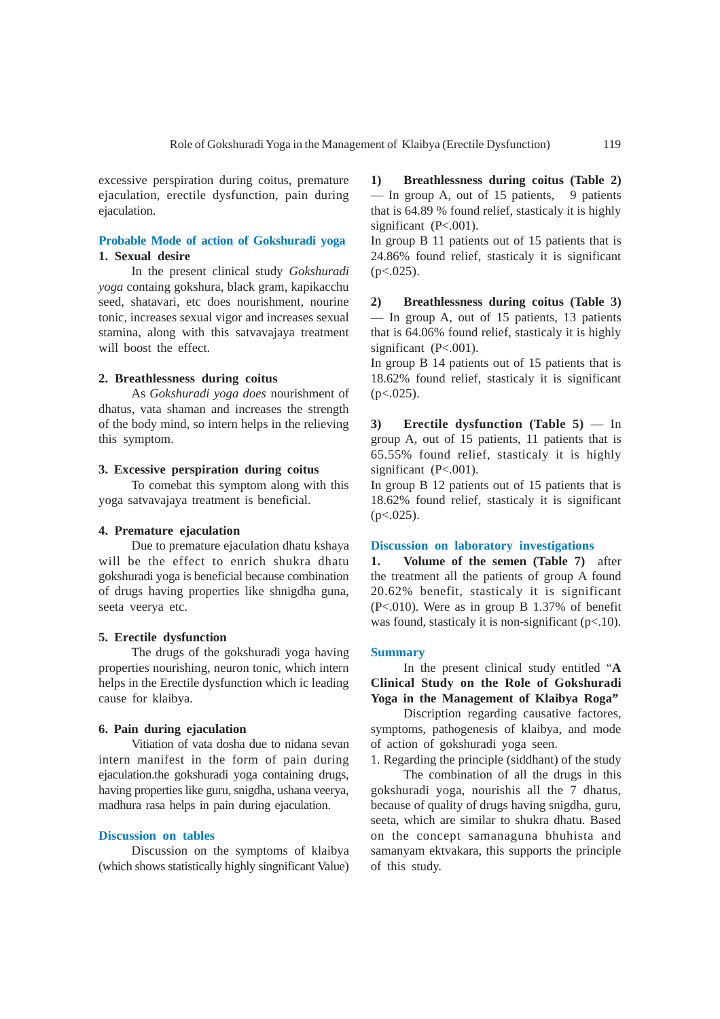excessive perspiration during coitus, premature ejaculation, erectile dysfunction, pain during ejaculation.

### **Probable Mode of action of Gokshuradi yoga 1. Sexual desire**

In the present clinical study *Gokshuradi yoga* containg gokshura, black gram, kapikacchu seed, shatavari, etc does nourishment, nourine tonic, increases sexual vigor and increases sexual stamina, along with this satvavajaya treatment will boost the effect.

## **2. Breathlessness during coitus**

As *Gokshuradi yoga does* nourishment of dhatus, vata shaman and increases the strength of the body mind, so intern helps in the relieving this symptom.

## **3. Excessive perspiration during coitus**

To comebat this symptom along with this yoga satvavajaya treatment is beneficial.

#### **4. Premature ejaculation**

Due to premature ejaculation dhatu kshaya will be the effect to enrich shukra dhatu gokshuradi yoga is beneficial because combination of drugs having properties like shnigdha guna, seeta veerya etc.

#### **5. Erectile dysfunction**

The drugs of the gokshuradi yoga having properties nourishing, neuron tonic, which intern helps in the Erectile dysfunction which ic leading cause for klaibya.

## **6. Pain during ejaculation**

Vitiation of vata dosha due to nidana sevan intern manifest in the form of pain during ejaculation.the gokshuradi yoga containing drugs, having properties like guru, snigdha, ushana veerya, madhura rasa helps in pain during ejaculation.

## **Discussion on tables**

Discussion on the symptoms of klaibya (which shows statistically highly singnificant Value)

**1) Breathlessness during coitus (Table 2)** — In group A, out of 15 patients, 9 patients that is 64.89 % found relief, stasticaly it is highly significant (P<.001).

In group B 11 patients out of 15 patients that is 24.86% found relief, stasticaly it is significant  $(p<.025)$ .

**2) Breathlessness during coitus (Table 3)** — In group A, out of 15 patients, 13 patients that is 64.06% found relief, stasticaly it is highly significant (P<.001).

In group B 14 patients out of 15 patients that is 18.62% found relief, stasticaly it is significant  $(p<.025)$ .

**3) Erectile dysfunction (Table 5)** — In group A, out of 15 patients, 11 patients that is 65.55% found relief, stasticaly it is highly significant (P<.001).

In group B 12 patients out of 15 patients that is 18.62% found relief, stasticaly it is significant  $(p<.025)$ .

#### **Discussion on laboratory investigations**

**1. Volume of the semen (Table 7)** after the treatment all the patients of group A found 20.62% benefit, stasticaly it is significant (P<.010). Were as in group B 1.37% of benefit was found, stasticaly it is non-significant (p<.10).

#### **Summary**

In the present clinical study entitled "**A Clinical Study on the Role of Gokshuradi Yoga in the Management of Klaibya Roga"**

Discription regarding causative factores, symptoms, pathogenesis of klaibya, and mode of action of gokshuradi yoga seen.

1. Regarding the principle (siddhant) of the study

The combination of all the drugs in this gokshuradi yoga, nourishis all the 7 dhatus, because of quality of drugs having snigdha, guru, seeta, which are similar to shukra dhatu. Based on the concept samanaguna bhuhista and samanyam ektvakara, this supports the principle of this study.